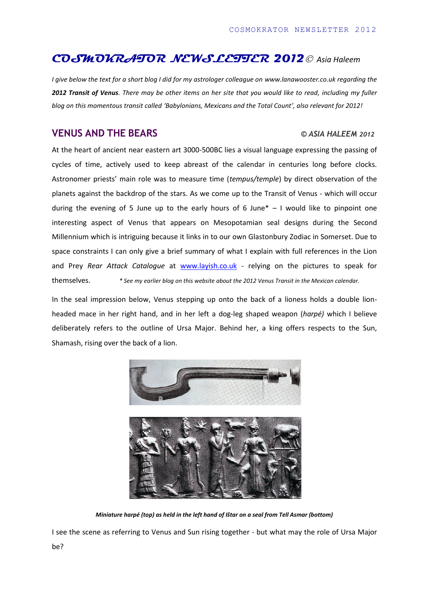## **COSMOKRATOR NEWSLETTER 2012** *Asia Haleem*

*I give below the text for a short blog I did for my astrologer colleague on [www.lanawooster.co.uk](http://www.lanawooster.co.uk/) regarding the 2012 Transit of Venus. There may be other items on her site that you would like to read, including my fuller blog on this momentous transit called 'Babylonians, Mexicans and the Total Count', also relevant for 2012!*

## **VENUS AND THE BEARS** *© ASIA HALEEM <sup>2012</sup>*

At the heart of ancient near eastern art 3000-500BC lies a visual language expressing the passing of cycles of time, actively used to keep abreast of the calendar in centuries long before clocks. Astronomer priests' main role was to measure time (*tempus/temple*) by direct observation of the planets against the backdrop of the stars. As we come up to the Transit of Venus - which will occur during the evening of 5 June up to the early hours of 6 June $* - 1$  would like to pinpoint one interesting aspect of Venus that appears on Mesopotamian seal designs during the Second Millennium which is intriguing because it links in to our own Glastonbury Zodiac in Somerset. Due to space constraints I can only give a brief summary of what I explain with full references in the Lion and Prey *Rear Attack Catalogue* at [www.layish.co.uk](http://www.layish.co.uk/) - relying on the pictures to speak for themselves. *\* See my earlier blog on this website about the 2012 Venus Transit in the Mexican calendar.*

In the seal impression below, Venus stepping up onto the back of a lioness holds a double lionheaded mace in her right hand, and in her left a dog-leg shaped weapon (*harpé)* which I believe deliberately refers to the outline of Ursa Major. Behind her, a king offers respects to the Sun, Shamash, rising over the back of a lion.



*Miniature harpé (top) as held in the left hand of Ištar on a seal from Tell Asmar (bottom)*

I see the scene as referring to Venus and Sun rising together - but what may the role of Ursa Major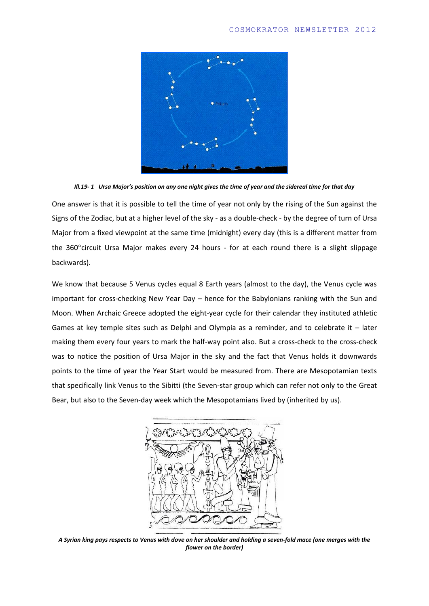

*Ill.19- 1 Ursa Major's position on any one night gives the time of year and the sidereal time for that day*

One answer is that it is possible to tell the time of year not only by the rising of the Sun against the Signs of the Zodiac, but at a higher level of the sky - as a double-check - by the degree of turn of Ursa Major from a fixed viewpoint at the same time (midnight) every day (this is a different matter from the  $360^{\circ}$ circuit Ursa Major makes every 24 hours - for at each round there is a slight slippage backwards).

We know that because 5 Venus cycles equal 8 Earth years (almost to the day), the Venus cycle was important for cross-checking New Year Day – hence for the Babylonians ranking with the Sun and Moon. When Archaic Greece adopted the eight-year cycle for their calendar they instituted athletic Games at key temple sites such as Delphi and Olympia as a reminder, and to celebrate it – later making them every four years to mark the half-way point also. But a cross-check to the cross-check was to notice the position of Ursa Major in the sky and the fact that Venus holds it downwards points to the time of year the Year Start would be measured from. There are Mesopotamian texts that specifically link Venus to the Sibitti (the Seven-star group which can refer not only to the Great Bear, but also to the Seven-day week which the Mesopotamians lived by (inherited by us).



*A Syrian king pays respects to Venus with dove on her shoulder and holding a seven-fold mace (one merges with the flower on the border)*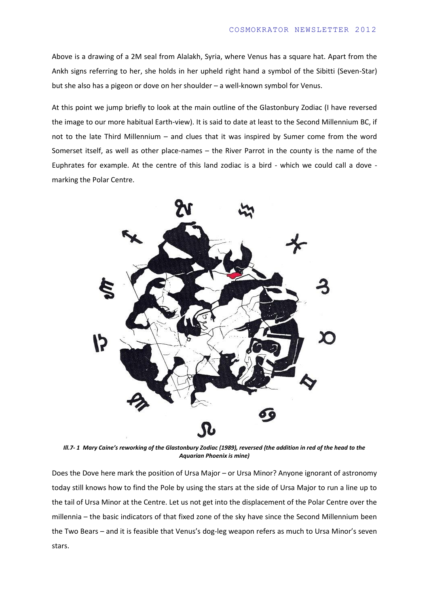Above is a drawing of a 2M seal from Alalakh, Syria, where Venus has a square hat. Apart from the Ankh signs referring to her, she holds in her upheld right hand a symbol of the Sibitti (Seven-Star) but she also has a pigeon or dove on her shoulder – a well-known symbol for Venus.

At this point we jump briefly to look at the main outline of the Glastonbury Zodiac (I have reversed the image to our more habitual Earth-view). It is said to date at least to the Second Millennium BC, if not to the late Third Millennium – and clues that it was inspired by Sumer come from the word Somerset itself, as well as other place-names – the River Parrot in the county is the name of the Euphrates for example. At the centre of this land zodiac is a bird - which we could call a dove marking the Polar Centre.



*Ill.7- 1 Mary Caine's reworking of the Glastonbury Zodiac (1989), reversed (the addition in red of the head to the Aquarian Phoenix is mine)*

Does the Dove here mark the position of Ursa Major – or Ursa Minor? Anyone ignorant of astronomy today still knows how to find the Pole by using the stars at the side of Ursa Major to run a line up to the tail of Ursa Minor at the Centre. Let us not get into the displacement of the Polar Centre over the millennia – the basic indicators of that fixed zone of the sky have since the Second Millennium been the Two Bears – and it is feasible that Venus's dog-leg weapon refers as much to Ursa Minor's seven stars.